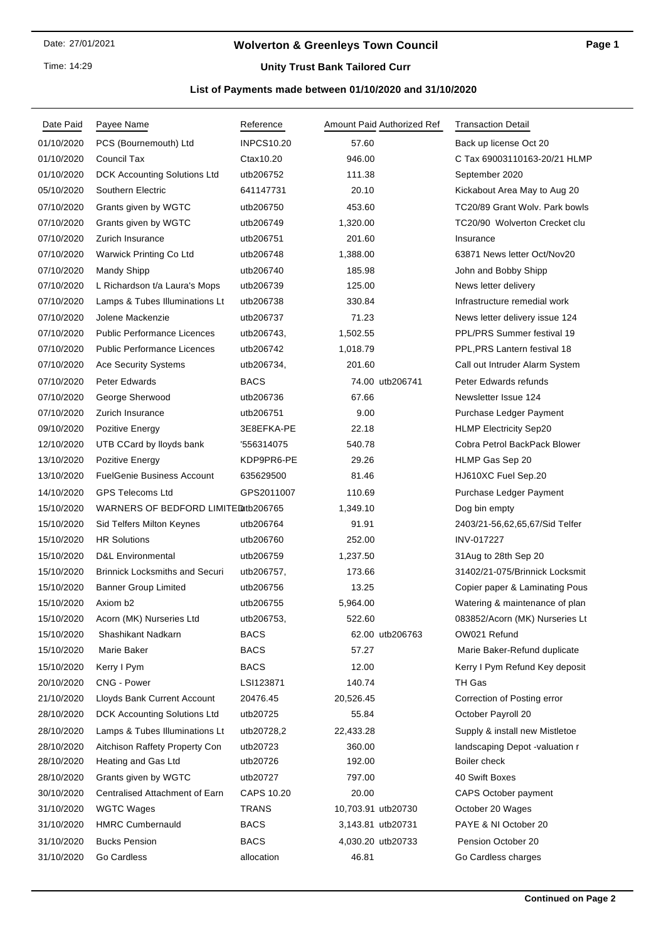Time: 14:29

# **Wolverton & Greenleys Town Council**

# **Unity Trust Bank Tailored Curr**

## **List of Payments made between 01/10/2020 and 31/10/2020**

| Date Paid                | Payee Name                            | Reference           | Amount Paid Authorized Ref  | <b>Transaction Detail</b>                |
|--------------------------|---------------------------------------|---------------------|-----------------------------|------------------------------------------|
| 01/10/2020               | PCS (Bournemouth) Ltd                 | <b>INPCS10.20</b>   | 57.60                       | Back up license Oct 20                   |
| 01/10/2020               | Council Tax                           | Ctax10.20           | 946.00                      | C Tax 69003110163-20/21 HLMP             |
| 01/10/2020               | DCK Accounting Solutions Ltd          | utb206752           | 111.38                      | September 2020                           |
| 05/10/2020               | Southern Electric                     | 641147731           | 20.10                       | Kickabout Area May to Aug 20             |
| 07/10/2020               | Grants given by WGTC                  | utb206750           | 453.60                      | TC20/89 Grant Wolv. Park bowls           |
| 07/10/2020               | Grants given by WGTC                  | utb206749           | 1,320.00                    | TC20/90 Wolverton Crecket clu            |
| 07/10/2020               | Zurich Insurance                      | utb206751           | 201.60                      | Insurance                                |
| 07/10/2020               | Warwick Printing Co Ltd               | utb206748           | 1,388.00                    | 63871 News letter Oct/Nov20              |
| 07/10/2020               | <b>Mandy Shipp</b>                    | utb206740           | 185.98                      | John and Bobby Shipp                     |
| 07/10/2020               | L Richardson t/a Laura's Mops         | utb206739           | 125.00                      | News letter delivery                     |
| 07/10/2020               | Lamps & Tubes Illuminations Lt        | utb206738           | 330.84                      | Infrastructure remedial work             |
| 07/10/2020               | Jolene Mackenzie                      | utb206737           | 71.23                       | News letter delivery issue 124           |
| 07/10/2020               | <b>Public Performance Licences</b>    | utb206743,          | 1,502.55                    | PPL/PRS Summer festival 19               |
| 07/10/2020               | <b>Public Performance Licences</b>    | utb206742           | 1,018.79                    | PPL, PRS Lantern festival 18             |
| 07/10/2020               | <b>Ace Security Systems</b>           | utb206734,          | 201.60                      | Call out Intruder Alarm System           |
| 07/10/2020               | Peter Edwards                         | <b>BACS</b>         | 74.00 utb206741             | Peter Edwards refunds                    |
| 07/10/2020               | George Sherwood                       | utb206736           | 67.66                       | Newsletter Issue 124                     |
| 07/10/2020               | Zurich Insurance                      | utb206751           | 9.00                        | Purchase Ledger Payment                  |
| 09/10/2020               | Pozitive Energy                       | 3E8EFKA-PE          | 22.18                       | <b>HLMP Electricity Sep20</b>            |
| 12/10/2020               | UTB CCard by lloyds bank              | '556314075          | 540.78                      | Cobra Petrol BackPack Blower             |
| 13/10/2020               | Pozitive Energy                       | KDP9PR6-PE          | 29.26                       | HLMP Gas Sep 20                          |
| 13/10/2020               | <b>FuelGenie Business Account</b>     | 635629500           | 81.46                       | HJ610XC Fuel Sep.20                      |
| 14/10/2020               | <b>GPS Telecoms Ltd</b>               | GPS2011007          | 110.69                      | Purchase Ledger Payment                  |
| 15/10/2020               | WARNERS OF BEDFORD LIMITED tb206765   |                     | 1,349.10                    | Dog bin empty                            |
| 15/10/2020               | Sid Telfers Milton Keynes             | utb206764           | 91.91                       | 2403/21-56,62,65,67/Sid Telfer           |
| 15/10/2020               | <b>HR Solutions</b>                   | utb206760           | 252.00                      | INV-017227                               |
| 15/10/2020               | <b>D&amp;L Environmental</b>          | utb206759           | 1,237.50                    | 31Aug to 28th Sep 20                     |
| 15/10/2020               | <b>Brinnick Locksmiths and Securi</b> | utb206757,          | 173.66                      | 31402/21-075/Brinnick Locksmit           |
| 15/10/2020               | <b>Banner Group Limited</b>           | utb206756           | 13.25                       | Copier paper & Laminating Pous           |
| 15/10/2020               | Axiom b <sub>2</sub>                  | utb206755           | 5,964.00                    | Watering & maintenance of plan           |
| 15/10/2020               | Acorn (MK) Nurseries Ltd              | utb206753,          | 522.60                      | 083852/Acorn (MK) Nurseries Lt           |
| 15/10/2020               | Shashikant Nadkarn                    | <b>BACS</b>         | 62.00 utb206763             | OW021 Refund                             |
| 15/10/2020               | Marie Baker                           | <b>BACS</b>         | 57.27                       | Marie Baker-Refund duplicate             |
| 15/10/2020               | Kerry I Pym                           | <b>BACS</b>         | 12.00                       | Kerry I Pym Refund Key deposit           |
| 20/10/2020               | CNG - Power                           | LSI123871           | 140.74                      | TH Gas                                   |
| 21/10/2020               | Lloyds Bank Current Account           | 20476.45            | 20,526.45                   | Correction of Posting error              |
| 28/10/2020               | DCK Accounting Solutions Ltd          | utb20725            | 55.84                       | October Payroll 20                       |
| 28/10/2020               | Lamps & Tubes Illuminations Lt        | utb20728,2          | 22,433.28                   | Supply & install new Mistletoe           |
| 28/10/2020               | Aitchison Raffety Property Con        | utb20723            | 360.00                      | landscaping Depot -valuation r           |
| 28/10/2020               | Heating and Gas Ltd                   | utb20726            | 192.00                      | Boiler check                             |
| 28/10/2020               | Grants given by WGTC                  | utb20727            | 797.00                      | 40 Swift Boxes                           |
| 30/10/2020               | Centralised Attachment of Earn        | CAPS 10.20<br>TRANS | 20.00<br>10,703.91 utb20730 | <b>CAPS October payment</b>              |
| 31/10/2020<br>31/10/2020 | WGTC Wages<br><b>HMRC Cumbernauld</b> | <b>BACS</b>         | 3,143.81 utb20731           | October 20 Wages<br>PAYE & NI October 20 |
|                          |                                       |                     |                             |                                          |
| 31/10/2020               | <b>Bucks Pension</b>                  | <b>BACS</b>         | 4,030.20 utb20733           | Pension October 20                       |
| 31/10/2020               | Go Cardless                           | allocation          | 46.81                       | Go Cardless charges                      |